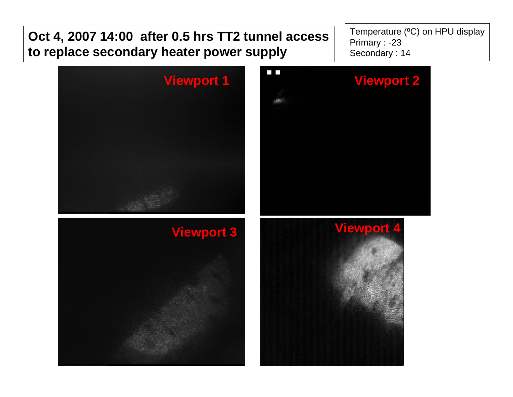

Temperature (ºC) on HPU display Primary : -23 Secondary : 14

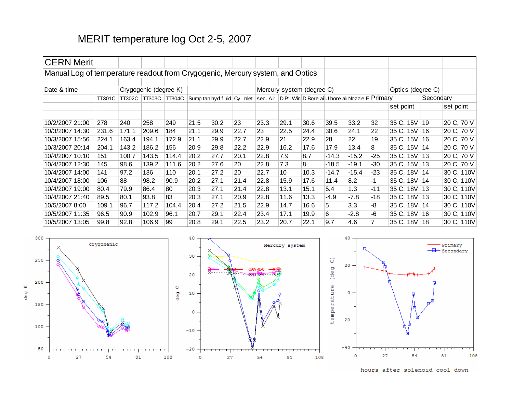## MERIT temperature log Oct 2-5, 2007

| <b>CERN Merit</b>                                                             |               |                                          |       |       |      |      |      |                                                                                                 |      |      |         |         |                   |              |  |            |
|-------------------------------------------------------------------------------|---------------|------------------------------------------|-------|-------|------|------|------|-------------------------------------------------------------------------------------------------|------|------|---------|---------|-------------------|--------------|--|------------|
| Manual Log of temperature readout from Crygogenic, Mercury system, and Optics |               |                                          |       |       |      |      |      |                                                                                                 |      |      |         |         |                   |              |  |            |
|                                                                               |               |                                          |       |       |      |      |      |                                                                                                 |      |      |         |         |                   |              |  |            |
| Date & time                                                                   |               | Crygogenic (degree K)                    |       |       |      |      |      | Mercury system (degree C)                                                                       |      |      |         |         | Optics (degree C) |              |  |            |
|                                                                               | <b>TT301C</b> | <b>TT302C</b><br>TT303C<br><b>TT304C</b> |       |       |      |      |      | Sump tan hyd fluid   Cy. Inlet   sec. Air   D. Pri Win   D Bore ai U bore ai Nozzle F   Primary |      |      |         |         |                   | Secondary    |  |            |
|                                                                               |               |                                          |       |       |      |      |      |                                                                                                 |      |      |         |         |                   | set point    |  | set point  |
|                                                                               |               |                                          |       |       |      |      |      |                                                                                                 |      |      |         |         | 32                |              |  | 20 C, 70 V |
| 10/2/2007 21:00                                                               | 278           | 240                                      | 258   | 249   | 21.5 | 30.2 | 23   | 23.3                                                                                            | 29.1 | 30.6 | 39.5    | 33.2    |                   | 35 C, 15V 19 |  |            |
| 10/3/2007 14:30                                                               | 231.6         | 171.1                                    | 209.6 | 184   | 21.1 | 29.9 | 22.7 | 23                                                                                              | 22.5 | 24.4 | 30.6    | 24.1    | 22                | 35 C, 15V 16 |  | 20 C, 70 V |
| 10/3/2007 15:56                                                               | 224.1         | 163.4                                    | 194.1 | 172.9 | 21.1 | 29.9 | 22.7 | 22.9                                                                                            | 21   | 22.9 | 28      | 22      | 19                | 35 C, 15V 16 |  | 20 C, 70 V |
| 10/3/2007 20:14                                                               | 204.1         | 143.2                                    | 186.2 | 156   | 20.9 | 29.8 | 22.2 | 22.9                                                                                            | 16.2 | 17.6 | 17.9    | 13.4    | 8                 | 35 C, 15V 14 |  | 20 C, 70 V |
| 10/4/2007 10:10                                                               | 151           | 100.7                                    | 143.5 | 114.4 | 20.2 | 27.7 | 20.1 | 22.8                                                                                            | 7.9  | 8.7  | $-14.3$ | $-15.2$ | $-25$             | 35 C, 15V 13 |  | 20 C, 70 V |
| 10/4/2007 12:30                                                               | 145           | 98.6                                     | 139.2 | 111.6 | 20.2 | 27.6 | 20   | 22.8                                                                                            | 7.3  | 8    | $-18.5$ | $-19.1$ | -30               | 35 C, 15V 13 |  | 20 C, 70 V |
| 10/4/2007 14:00                                                               | 141           | 97.2                                     | 136   | 110   | 20.1 | 27.2 | 20   | 22.7                                                                                            | 10   | 10.3 | $-14.7$ | $-15.4$ | -23               | 35 C, 18V 14 |  | 30 C, 110V |
| 10/4/2007 18:00                                                               | 106           | 88                                       | 98.2  | 90.9  | 20.2 | 27.1 | 21.4 | 22.8                                                                                            | 15.9 | 17.6 | 11.4    | 8.2     |                   | 35 C, 18V 14 |  | 30 C, 110V |
| 10/4/2007 19:00                                                               | 80.4          | 79.9                                     | 86.4  | 80    | 20.3 | 27.1 | 21.4 | 22.8                                                                                            | 13.1 | 15.1 | 5.4     | 1.3     | $-11$             | 35 C, 18V 13 |  | 30 C, 110V |
| 10/4/2007 21:40                                                               | 89.5          | 80.1                                     | 93.8  | 83    | 20.3 | 27.1 | 20.9 | 22.8                                                                                            | 11.6 | 13.3 | $-4.9$  | $-7.8$  | $-18$             | 35 C, 18V 13 |  | 30 C, 110V |
| 10/5/2007 8:00                                                                | 109.1         | 96.7                                     | 117.2 | 104.4 | 20.4 | 27.2 | 21.5 | 22.9                                                                                            | 14.7 | 16.6 | 5       | 3.3     | -8                | 35 C, 18V 14 |  | 30 C, 110V |
| 10/5/2007 11:35                                                               | 96.5          | 90.9                                     | 102.9 | 96.1  | 20.7 | 29.1 | 22.4 | 23.4                                                                                            | 17.1 | 19.9 | 6       | $-2.8$  | $-6$              | 35 C, 18V 16 |  | 30 C, 110V |
| 10/5/2007 13:05                                                               | 99.8          | 92.8                                     | 106.9 | 99    | 20.8 | 29.1 | 22.5 | 23.2                                                                                            | 20.7 | 22.1 | 9.7     | 4.6     |                   | 35 C, 18V 18 |  | 30 C, 110V |







 $40$ 

hours after solenoid cool down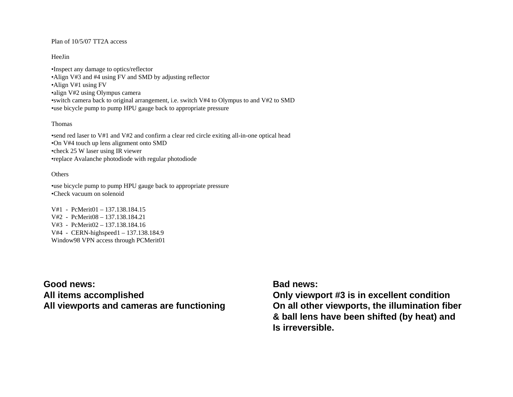#### Plan of 10/5/07 TT2A access

#### HeeJin

•Inspect any damage to optics/reflector •Align V#3 and #4 using FV and SMD by adjusting reflector •Align V#1 using FV •align V#2 using Olympus camera •switch camera back to original arrangement, i.e. switch V#4 to Olympus to and V#2 to SMD •use bicycle pump to pump HPU gauge back to appropriate pressure

### Thomas

•send red laser to V#1 and V#2 and confirm a clear red circle exiting all-in-one optical head •On V#4 touch up lens alignment onto SMD •check 25 W laser using IR viewer •replace Avalanche photodiode with regular photodiode

#### **Others**

•use bicycle pump to pump HPU gauge back to appropriate pressure •Check vacuum on solenoid

V#1 - PcMerit01 – 137.138.184.15V#2 - PcMerit08 – 137.138.184.21V#3 - PcMerit02 – 137.138.184.16V#4 - CERN-highspeed1 – 137.138.184.9 Window98 VPN access through PCMerit01

**Good news:All items accomplished All viewports and cameras are functioning**

### **Bad news:**

**Only viewport #3 is in excellent condition On all other viewports, the illumination fiber & ball lens have been shifted (by heat) and Is irreversible.**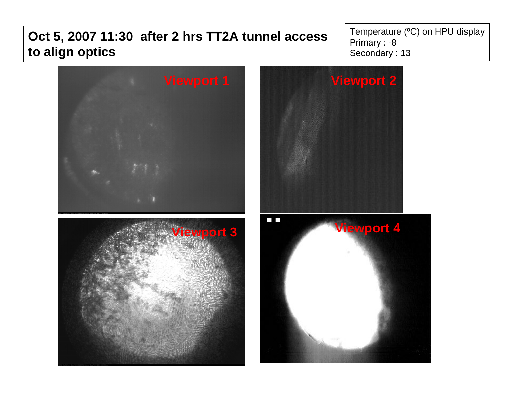# **Oct 5, 2007 11:30 after 2 hrs TT2A tunnel access to align optics**

Temperature (ºC) on HPU display Primary : -8 Secondary : 13